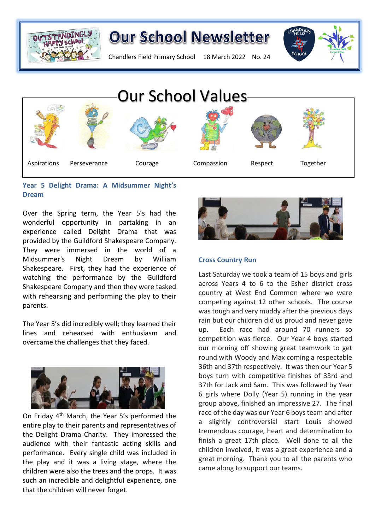

Chandlers Field Primary School 18 March 2022 No. 24





### **Year 5 Delight Drama: A Midsummer Night's Dream**

Over the Spring term, the Year 5's had the wonderful opportunity in partaking in an experience called Delight Drama that was provided by the Guildford Shakespeare Company. They were immersed in the world of a Midsummer's Night Dream by William Shakespeare. First, they had the experience of watching the performance by the Guildford Shakespeare Company and then they were tasked with rehearsing and performing the play to their parents.

The Year 5's did incredibly well; they learned their lines and rehearsed with enthusiasm and overcame the challenges that they faced.



On Friday 4th March, the Year 5's performed the entire play to their parents and representatives of the Delight Drama Charity. They impressed the audience with their fantastic acting skills and performance. Every single child was included in the play and it was a living stage, where the children were also the trees and the props. It was such an incredible and delightful experience, one that the children will never forget.



### **Cross Country Run**

Last Saturday we took a team of 15 boys and girls across Years 4 to 6 to the Esher district cross country at West End Common where we were competing against 12 other schools. The course was tough and very muddy after the previous days rain but our children did us proud and never gave up. Each race had around 70 runners so competition was fierce. Our Year 4 boys started our morning off showing great teamwork to get round with Woody and Max coming a respectable 36th and 37th respectively. It was then our Year 5 boys turn with competitive finishes of 33rd and 37th for Jack and Sam. This was followed by Year 6 girls where Dolly (Year 5) running in the year group above, finished an impressive 27. The final race of the day was our Year 6 boys team and after slightly controversial start Louis showed tremendous courage, heart and determination to finish a great 17th place. Well done to all the children involved, it was a great experience and a great morning. Thank you to all the parents who came along to support our teams.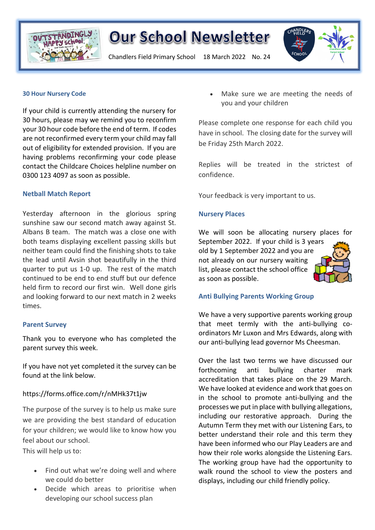

Chandlers Field Primary School 18 March 2022 No. 24



#### **30 Hour Nursery Code**

If your child is currently attending the nursery for 30 hours, please may we remind you to reconfirm your 30 hour code before the end of term. If codes are not reconfirmed every term your child may fall out of eligibility for extended provision. If you are having problems reconfirming your code please contact the Childcare Choices helpline number on 0300 123 4097 as soon as possible.

#### **Netball Match Report**

Yesterday afternoon in the glorious spring sunshine saw our second match away against St. Albans B team. The match was a close one with both teams displaying excellent passing skills but neither team could find the finishing shots to take the lead until Avsin shot beautifully in the third quarter to put us 1-0 up. The rest of the match continued to be end to end stuff but our defence held firm to record our first win. Well done girls and looking forward to our next match in 2 weeks times.

#### **Parent Survey**

Thank you to everyone who has completed the parent survey this week.

If you have not yet completed it the survey can be found at the link below.

#### https://forms.office.com/r/nMHk37t1jw

The purpose of the survey is to help us make sure we are providing the best standard of education for your children; we would like to know how you feel about our school.

This will help us to:

- Find out what we're doing well and where we could do better
- Decide which areas to prioritise when developing our school success plan

• Make sure we are meeting the needs of you and your children

Please complete one response for each child you have in school. The closing date for the survey will be Friday 25th March 2022.

Replies will be treated in the strictest of confidence.

Your feedback is very important to us.

#### **Nursery Places**

We will soon be allocating nursery places for September 2022. If your child is 3 years old by 1 September 2022 and you are not already on our nursery waiting list, please contact the school office as soon as possible.



We have a very supportive parents working group that meet termly with the anti-bullying coordinators Mr Luxon and Mrs Edwards, along with our anti-bullying lead governor Ms Cheesman.

Over the last two terms we have discussed our forthcoming anti bullying charter mark accreditation that takes place on the 29 March. We have looked at evidence and work that goes on in the school to promote anti-bullying and the processes we put in place with bullying allegations, including our restorative approach. During the Autumn Term they met with our Listening Ears, to better understand their role and this term they have been informed who our Play Leaders are and how their role works alongside the Listening Ears. The working group have had the opportunity to walk round the school to view the posters and displays, including our child friendly policy.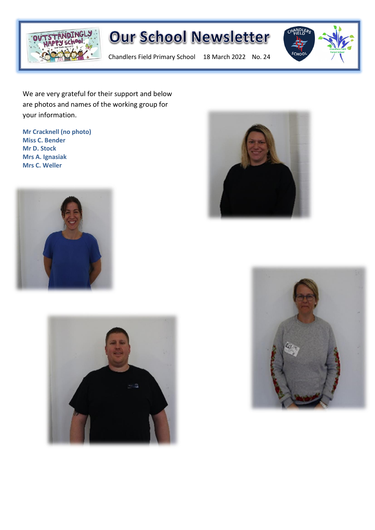

**Our School Newsletter** 

Chandlers Field Primary School 18 March 2022 No. 24



We are very grateful for their support and below are photos and names of the working group for your information.

**Mr Cracknell (no photo) Miss C. Bender Mr D. Stock Mrs A. Ignasiak Mrs C. Weller**







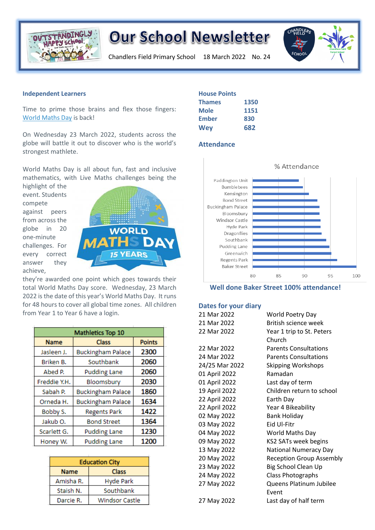

Chandlers Field Primary School 18 March 2022 No. 24



#### **Independent Learners**

Time to prime those brains and flex those fingers: World [Maths](https://www.3plearning.com/world-maths-day/) Day is back!

On Wednesday 23 March 2022, students across the globe will battle it out to discover who is the world's strongest mathlete.

World Maths Day is all about fun, fast and inclusive mathematics, with Live Maths challenges being the

highlight of the event. Students compete against peers from across the globe in 20 one-minute challenges. For every correct answer they achieve,



they're awarded one point which goes towards their total World Maths Day score. Wednesday, 23 March 2022 is the date of this year's World Maths Day. It runs for 48 hours to cover all global time zones. All children from Year 1 to Year 6 have a login.

| Mathletics Top 10 |                          |               |
|-------------------|--------------------------|---------------|
| <b>Name</b>       | <b>Class</b>             | <b>Points</b> |
| Jasleen J.        | <b>Buckingham Palace</b> | 2300          |
| Briken B.         | Southbank                | 2060          |
| Abed P.           | <b>Pudding Lane</b>      | 2060          |
| Freddie Y.H.      | Bloomsbury               | 2030          |
| Sabah P.          | <b>Buckingham Palace</b> | 1860          |
| Orneda H.         | <b>Buckingham Palace</b> | 1634          |
| Bobby S.          | <b>Regents Park</b>      | 1422          |
| Jakub O.          | <b>Bond Street</b>       | 1364          |
| Scarlett G.       | <b>Pudding Lane</b>      | 1230          |
| Honey W.          | <b>Pudding Lane</b>      | 1200          |

| <b>Education City</b> |                  |  |
|-----------------------|------------------|--|
| <b>Name</b>           | <b>Class</b>     |  |
| Amisha R.             | <b>Hyde Park</b> |  |
| Staish N.             | Southbank        |  |
| Darcie R.             | Windsor Castle   |  |

| <b>House Points</b> |      |
|---------------------|------|
| <b>Thames</b>       | 1350 |
| <b>Mole</b>         | 1151 |
| <b>Ember</b>        | 830  |
| Wey                 | 682  |

#### **Attendance**



**Well done Baker Street 100% attendance!**

#### **Dates for your diary**

| 21 Mar 2022    | <b>World Poetry Day</b>         |
|----------------|---------------------------------|
| 21 Mar 2022    | British science week            |
| 22 Mar 2022    | Year 1 trip to St. Peters       |
|                | Church                          |
| 22 Mar 2022    | <b>Parents Consultations</b>    |
| 24 Mar 2022    | <b>Parents Consultations</b>    |
| 24/25 Mar 2022 | <b>Skipping Workshops</b>       |
| 01 April 2022  | Ramadan                         |
| 01 April 2022  | Last day of term                |
| 19 April 2022  | Children return to school       |
| 22 April 2022  | Earth Day                       |
| 22 April 2022  | Year 4 Bikeability              |
| 02 May 2022    | <b>Bank Holiday</b>             |
| 03 May 2022    | Eid Ul-Fitr                     |
| 04 May 2022    | World Maths Day                 |
| 09 May 2022    | KS2 SATs week begins            |
| 13 May 2022    | <b>National Numeracy Day</b>    |
| 20 May 2022    | <b>Reception Group Assembly</b> |
| 23 May 2022    | Big School Clean Up             |
| 24 May 2022    | Class Photographs               |
| 27 May 2022    | Queens Platinum Jubilee         |
|                | Event                           |
| 27 May 2022    | Last day of half term           |
|                |                                 |